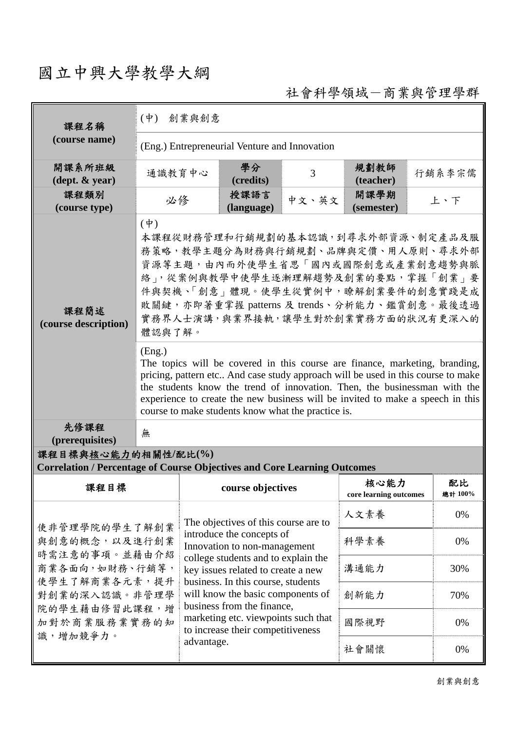## 國立中興大學教學大綱

社會科學領域-商業與管理學群

| 課程名稱                                                                                                                                 | 創業與創意<br>$(\dot{\Psi})$                                                                                                                                                                                                                                                                                                                                                                        |                                                                                                                                                                                                                                                                                         |                      |       |                                |        |               |  |  |
|--------------------------------------------------------------------------------------------------------------------------------------|------------------------------------------------------------------------------------------------------------------------------------------------------------------------------------------------------------------------------------------------------------------------------------------------------------------------------------------------------------------------------------------------|-----------------------------------------------------------------------------------------------------------------------------------------------------------------------------------------------------------------------------------------------------------------------------------------|----------------------|-------|--------------------------------|--------|---------------|--|--|
| (course name)                                                                                                                        | (Eng.) Entrepreneurial Venture and Innovation                                                                                                                                                                                                                                                                                                                                                  |                                                                                                                                                                                                                                                                                         |                      |       |                                |        |               |  |  |
| 開課系所班級<br>通識教育中心<br>$(\text{dept.} \& \text{ year})$                                                                                 |                                                                                                                                                                                                                                                                                                                                                                                                |                                                                                                                                                                                                                                                                                         | 學分<br>3<br>(credits) |       | 規劃教師<br>(teacher)              | 行銷系李宗儒 |               |  |  |
| 課程類別<br>必修<br>(course type)                                                                                                          |                                                                                                                                                                                                                                                                                                                                                                                                |                                                                                                                                                                                                                                                                                         | 授課語言<br>(language)   | 中文、英文 | 開課學期<br>上、下<br>(semester)      |        |               |  |  |
| 課程簡述<br>(course description)                                                                                                         | $(\phi)$<br>本課程從財務管理和行銷規劃的基本認識,到尋求外部資源、制定產品及服<br>務策略,教學主題分為財務與行銷規劃、品牌與定價、用人原則、尋求外部<br>資源等主題,由內而外使學生省思「國內或國際創意或產業創意趨勢與脈<br>絡」,從案例與教學中使學生逐漸理解趨勢及創業的要點,掌握「創業」要<br>件與契機、「創意」體現。使學生從實例中,瞭解創業要件的創意實踐是成<br>敗關鍵,亦即著重掌握 patterns 及 trends、分析能力、鑑賞創意。最後透過<br>實務界人士演講,與業界接軌,讓學生對於創業實務方面的狀況有更深入的<br>體認與了解。                                                                                                 |                                                                                                                                                                                                                                                                                         |                      |       |                                |        |               |  |  |
|                                                                                                                                      | (Eng.)<br>The topics will be covered in this course are finance, marketing, branding,<br>pricing, pattern etc And case study approach will be used in this course to make<br>the students know the trend of innovation. Then, the businessman with the<br>experience to create the new business will be invited to make a speech in this<br>course to make students know what the practice is. |                                                                                                                                                                                                                                                                                         |                      |       |                                |        |               |  |  |
| 先修課程<br>(prerequisites)                                                                                                              | 無                                                                                                                                                                                                                                                                                                                                                                                              |                                                                                                                                                                                                                                                                                         |                      |       |                                |        |               |  |  |
| 課程目標與核心能力的相關性/配比(%)<br><b>Correlation / Percentage of Course Objectives and Core Learning Outcomes</b>                               |                                                                                                                                                                                                                                                                                                                                                                                                |                                                                                                                                                                                                                                                                                         |                      |       |                                |        |               |  |  |
| 課程目標                                                                                                                                 |                                                                                                                                                                                                                                                                                                                                                                                                |                                                                                                                                                                                                                                                                                         | course objectives    |       | 核心能力<br>core learning outcomes |        | 配比<br>總計 100% |  |  |
| 使非管理學院的學生了解創業<br>與創意的概念,以及進行創業<br>時需注意的事項。並藉由介紹<br>商業各面向,如財務、行銷等,<br>使學生了解商業各元素,提升<br>對創業的深入認識。非管理學<br>院的學生藉由修習此課程,增<br>加對於商業服務業實務的知 |                                                                                                                                                                                                                                                                                                                                                                                                | The objectives of this course are to<br>introduce the concepts of<br>Innovation to non-management<br>college students and to explain the<br>key issues related to create a new<br>business. In this course, students<br>will know the basic components of<br>business from the finance, |                      | 人文素養  |                                | 0%     |               |  |  |
|                                                                                                                                      |                                                                                                                                                                                                                                                                                                                                                                                                |                                                                                                                                                                                                                                                                                         |                      | 科學素養  |                                | 0%     |               |  |  |
|                                                                                                                                      |                                                                                                                                                                                                                                                                                                                                                                                                |                                                                                                                                                                                                                                                                                         |                      | 溝通能力  |                                | 30%    |               |  |  |
|                                                                                                                                      |                                                                                                                                                                                                                                                                                                                                                                                                |                                                                                                                                                                                                                                                                                         |                      | 創新能力  |                                | 70%    |               |  |  |
|                                                                                                                                      |                                                                                                                                                                                                                                                                                                                                                                                                | marketing etc. viewpoints such that<br>to increase their competitiveness                                                                                                                                                                                                                |                      |       | 國際視野                           |        | 0%            |  |  |
| 識,增加競爭力。                                                                                                                             |                                                                                                                                                                                                                                                                                                                                                                                                | advantage.                                                                                                                                                                                                                                                                              |                      |       | 社會關懷                           |        | 0%            |  |  |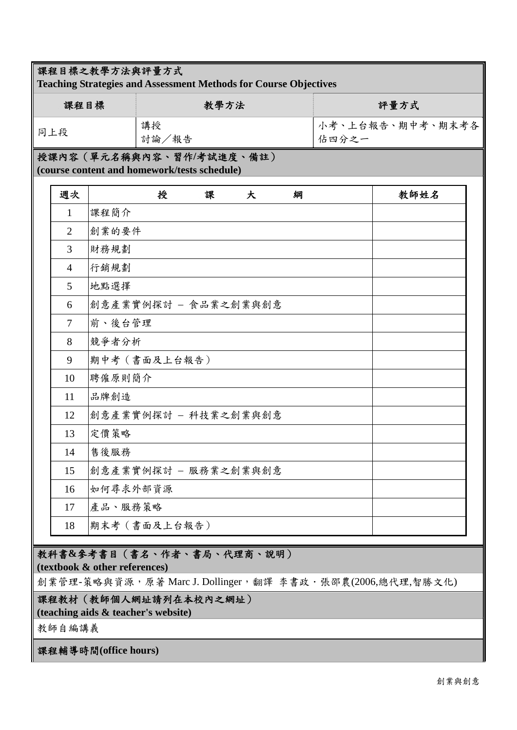## 課程目標之教學方法與評量方式

**Teaching Strategies and Assessment Methods for Course Objectives**

| 課程目標 | 教學方法        | 評量方式                                   |
|------|-------------|----------------------------------------|
| 同上段  | 講授<br>討論/報告 | <sup> </sup> 小考、上台報告、期中考、期末考各<br>估四分之一 |

授課內容(單元名稱與內容、習作**/**考試進度、備註) **(course content and homework/tests schedule)** 

| 週次             | 授<br>課<br>大<br>綱     | 教師姓名 |
|----------------|----------------------|------|
| $\mathbf{1}$   | 課程簡介                 |      |
| $\overline{2}$ | 創業的要件                |      |
| $\overline{3}$ | 財務規劃                 |      |
| $\overline{4}$ | 行銷規劃                 |      |
| 5              | 地點選擇                 |      |
| 6              | 創意產業實例探討 - 食品業之創業與創意 |      |
| $\tau$         | 前、後台管理               |      |
| 8              | 競爭者分析                |      |
| 9              | 期中考 (書面及上台報告)        |      |
| 10             | 聘僱原則簡介               |      |
| 11             | 品牌創造                 |      |
| 12             | 創意產業實例探討 - 科技業之創業與創意 |      |
| 13             | 定價策略                 |      |
| 14             | 售後服務                 |      |
| 15             | 創意產業實例探討 - 服務業之創業與創意 |      |
| 16             | 如何尋求外部資源             |      |
| 17             | 產品、服務策略              |      |
| 18             | 期末考 (書面及上台報告)        |      |

## 教科書**&**參考書目(書名、作者、書局、代理商、說明)

**(textbook & other references)**

創業管理-策略與資源,原著 Marc J. Dollinger,翻譯 李書政·張邵農(2006,總代理,智勝文化)

課程教材(教師個人網址請列在本校內之網址)

**(teaching aids & teacher's website)** 

教師自編講義

課程輔導時間**(office hours)**